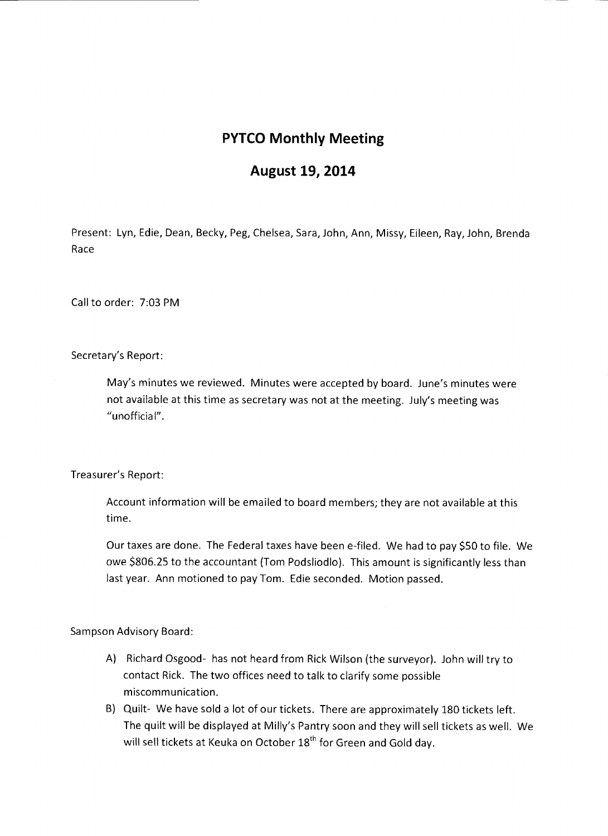## **PYTCO Monthly Meeting**

## **August 19, 2014**

Present: Lyn, Edie, Dean, Becky, Peg, Chelsea, Sara, John, Ann, Missy, Eileen, Ray, John, Brenda Race

Call to order: 7:03 PM

Secretary's Report:

May's minutes we reviewed. Minutes were accepted by board. June's minutes were not available at this time as secretary was not at the meeting. July's meeting was "unofficial".

Treasurer's Report:

Account information will be emailed to board members; they are not available at this time.

Our taxes are done. The Federal taxes have been e-filed. We had to pay \$50 to file. We owe \$806.25 to the accountant (Tom Podsliodlo). This amount is significantly less than last year. Ann motioned to pay Tom. Edie seconded. Motion passed.

Sampson Advisory Board:

- A) Richard Osgood- has not heard from Rick Wilson (the surveyor). John will try to contact Rick. The two offices need to talk to clarify some possible miscommunication.
- B) Quilt- We have sold a lot of our tickets. There are approximately 180 tickets left. The quilt will be displayed at Milly's Pantry soon and they will sell tickets as well. We will sell tickets at Keuka on October 18<sup>th</sup> for Green and Gold day.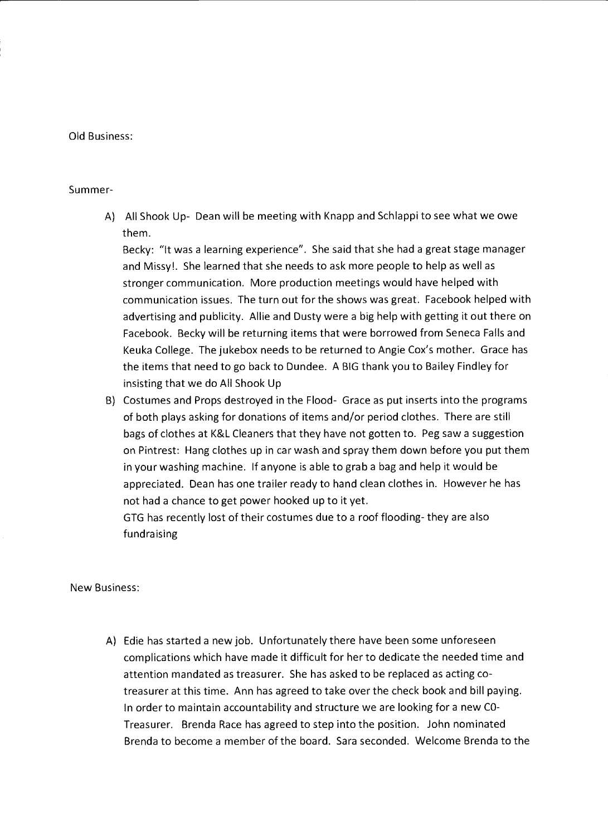## Old Business:

## Summer-

A) All Shook Up- Dean will be meeting with Knapp and Schlappi to see what we owe them.

Becky: "It was a learning experience". She said that she had a great stage manager and Missy!. She learned that she needs to ask more people to help as well as stronger communication. More production meetings would have helped with communication issues. The turn out for the shows was great. Facebook helped with advertising and publicity. Allie and Dusty were a big help with getting it out there on Facebook. Becky will be returning items that were borrowed from Seneca Falls and Keuka College. The jukebox needs to be returned to Angie Cox's mother. Grace has the items that need to go back to Dundee. A BIG thank you to Bailey Findley for insisting that we do All Shook Up

B} Costumes and Props destroyed in the Flood- Grace as put inserts into the programs of both plays asking for donations of items and/or period clothes. There are still bags of clothes at K&L Cleaners that they have not gotten to. Peg saw a suggestion on Pintrest: Hang clothes up in car wash and spray them down before you put them in your washing machine. If anyone is able to grab a bag and help it would be appreciated. Dean has one trailer ready to hand clean clothes in. However he has not had a chance to get power hooked up to it yet.

GTG has recently lost of their costumes due to a roof flooding- they are also fundraising

New Business:

A) Edie has started a new job. Unfortunately there have been some unforeseen complications which have made it difficult for her to dedicate the needed time and attention mandated as treasurer. She has asked to be replaced as acting cotreasurer at this time. Ann has agreed to take over the check book and bill paying. In order to maintain accountability and structure we are looking for a new CO-Treasurer. Brenda Race has agreed to step into the position. John nominated Brenda to become a member of the board. Sara seconded. Welcome Brenda to the